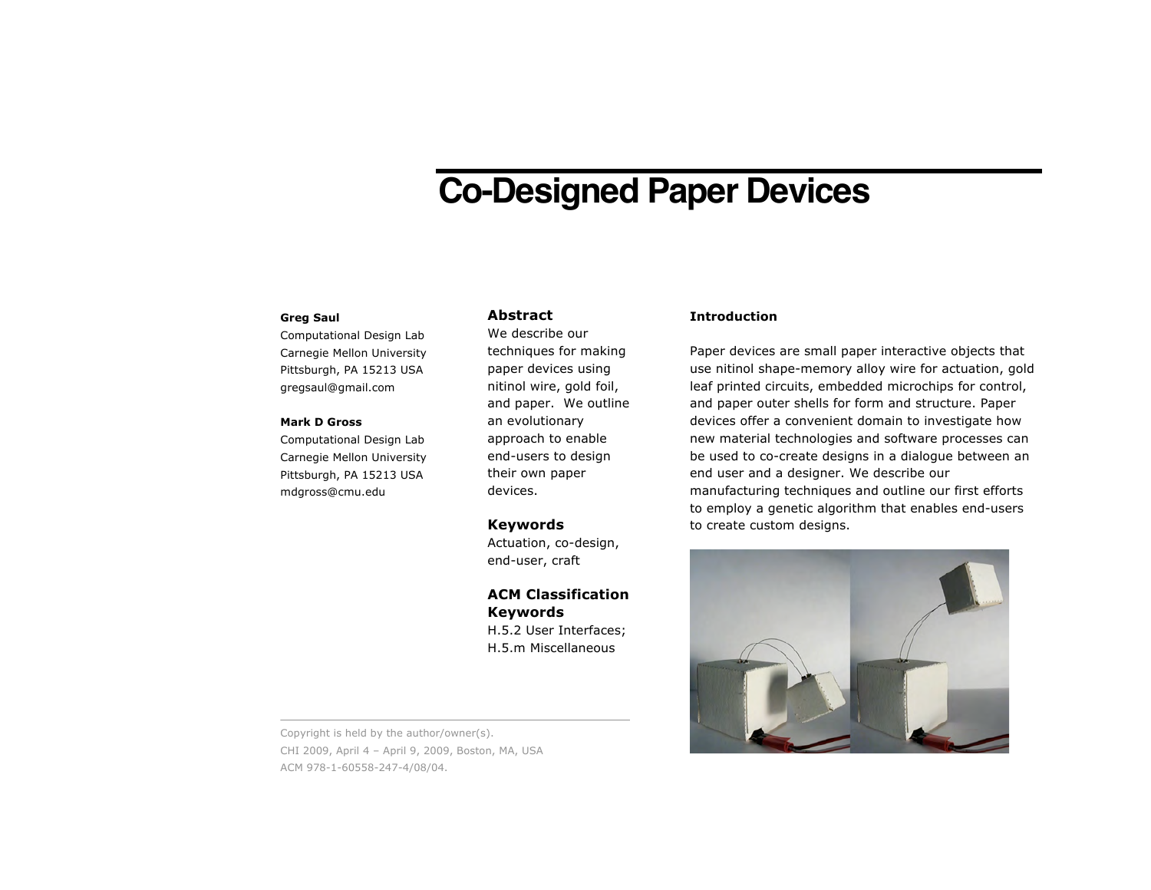# **Co-Designed Paper Devices**

#### **Greg Saul**

Computational Design Lab Carnegie Mellon University Pittsburgh, PA 15213 USA gregsaul@gmail.com

#### **Mark D Gross**

Computational Design Lab Carnegie Mellon University Pittsburgh, PA 15213 USA mdgross@cmu.edu

## **Abstract**

We describe our techniques for making paper devices using nitinol wire, gold foil, and paper. We outline an evolutionary approach to enable end-users to design their own paper devices.

#### **Keywords**

Actuation, co-design, end-user, craft

## **ACM Classification Keywords**

H.5.2 User Interfaces; H.5.m Miscellaneous

Copyright is held by the author/owner(s). CHI 2009, April 4 – April 9, 2009, Boston, MA, USA ACM 978-1-60558-247-4/08/04.

## **Introduction**

Paper devices are small paper interactive objects that use nitinol shape-memory alloy wire for actuation, gold leaf printed circuits, embedded microchips for control, and paper outer shells for form and structure. Paper devices offer a convenient domain to investigate how new material technologies and software processes can be used to co-create designs in a dialogue between an end user and a designer. We describe our manufacturing techniques and outline our first efforts to employ a genetic algorithm that enables end-users to create custom designs.

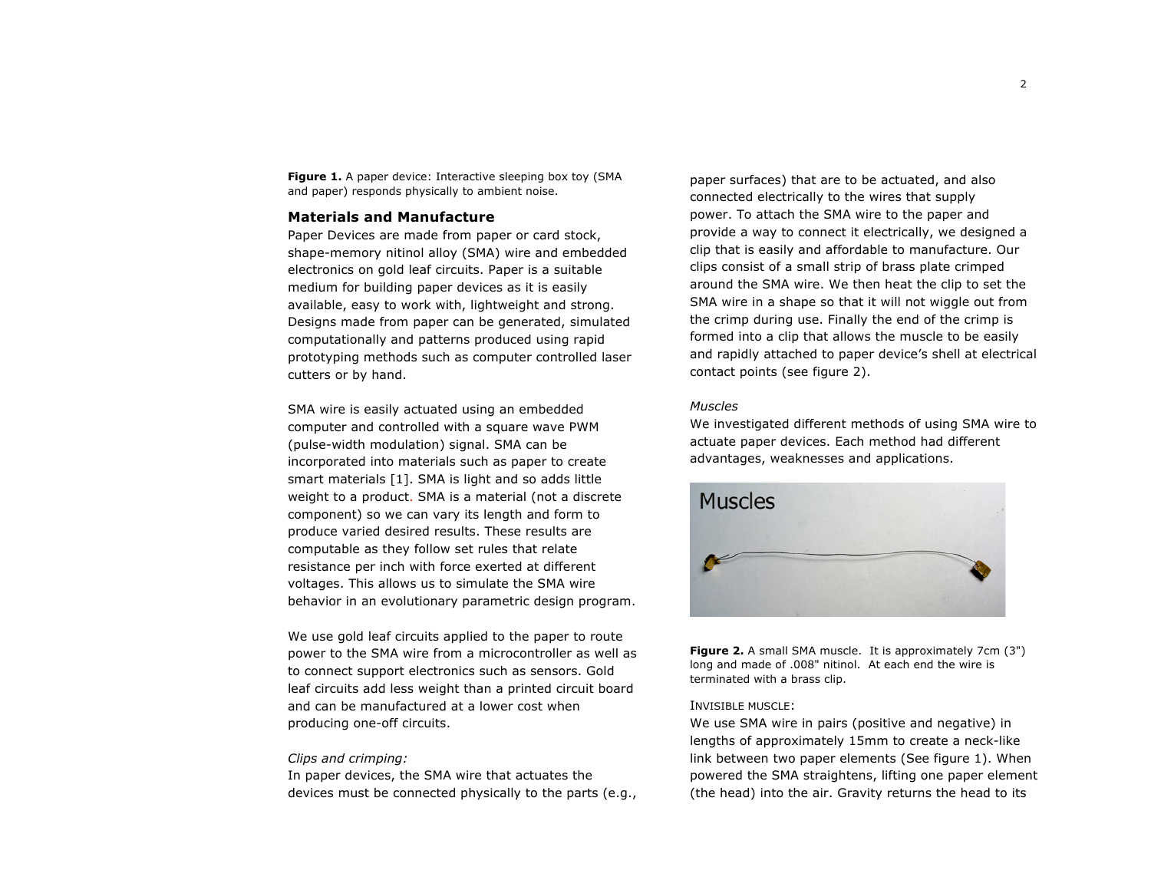Figure 1. A paper device: Interactive sleeping box toy (SMA and paper) responds physically to ambient noise.

#### **Materials and Manufacture**

Paper Devices are made from paper or card stock, shape-memory nitinol alloy (SMA) wire and embedded electronics on gold leaf circuits. Paper is a suitable medium for building paper devices as it is easily available, easy to work with, lightweight and strong. Designs made from paper can be generated, simulated computationally and patterns produced using rapid prototyping methods such as computer controlled laser cutters or by hand.

SMA wire is easily actuated using an embedded computer and controlled with a square wave PWM (pulse-width modulation) signal. SMA can be incorporated into materials such as paper to create smart materials [1]. SMA is light and so adds little weight to a product. SMA is a material (not a discrete component) so we can vary its length and form to produce varied desired results. These results are computable as they follow set rules that relate resistance per inch with force exerted at different voltages. This allows us to simulate the SMA wire behavior in an evolutionary parametric design program.

We use gold leaf circuits applied to the paper to route power to the SMA wire from a microcontroller as well as to connect support electronics such as sensors. Gold leaf circuits add less weight than a printed circuit board and can be manufactured at a lower cost when producing one-off circuits.

#### *Clips and crimping:*

In paper devices, the SMA wire that actuates the devices must be connected physically to the parts (e.g.,

paper surfaces) that are to be actuated, and also connected electrically to the wires that supply power. To attach the SMA wire to the paper and provide a way to connect it electrically, we designed a clip that is easily and affordable to manufacture. Our clips consist of a small strip of brass plate crimped around the SMA wire. We then heat the clip to set the SMA wire in a shape so that it will not wiggle out from the crimp during use. Finally the end of the crimp is formed into a clip that allows the muscle to be easily and rapidly attached to paper device's shell at electrical contact points (see figure 2).

## *Muscles*

We investigated different methods of using SMA wire to actuate paper devices. Each method had different advantages, weaknesses and applications.



**Figure 2.** A small SMA muscle. It is approximately 7cm (3") long and made of .008" nitinol. At each end the wire is terminated with a brass clip.

#### INVISIBLE MUSCLE:

We use SMA wire in pairs (positive and negative) in lengths of approximately 15mm to create a neck-like link between two paper elements (See figure 1). When powered the SMA straightens, lifting one paper element (the head) into the air. Gravity returns the head to its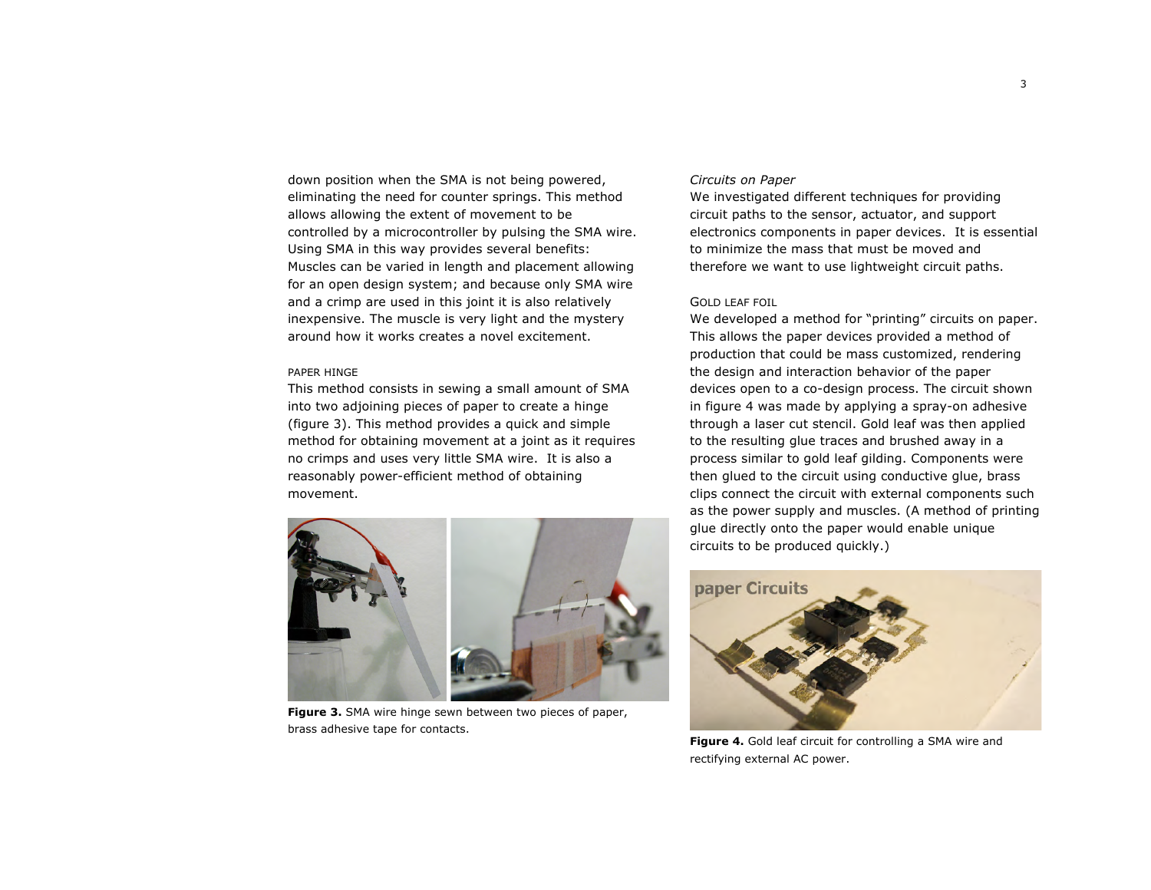down position when the SMA is not being powered, eliminating the need for counter springs. This method allows allowing the extent of movement to be controlled by a microcontroller by pulsing the SMA wire. Using SMA in this way provides several benefits: Muscles can be varied in length and placement allowing for an open design system; and because only SMA wire and a crimp are used in this joint it is also relatively inexpensive. The muscle is very light and the mystery around how it works creates a novel excitement.

#### PAPER HINGE

This method consists in sewing a small amount of SMA into two adjoining pieces of paper to create a hinge (figure 3). This method provides a quick and simple method for obtaining movement at a joint as it requires no crimps and uses very little SMA wire. It is also a reasonably power-efficient method of obtaining movement.



**Figure 3.** SMA wire hinge sewn between two pieces of paper, brass adhesive tape for contacts.

## *Circuits on Paper*

We investigated different techniques for providing circuit paths to the sensor, actuator, and support electronics components in paper devices. It is essential to minimize the mass that must be moved and therefore we want to use lightweight circuit paths.

#### GOLD LEAF FOIL

We developed a method for "printing" circuits on paper. This allows the paper devices provided a method of production that could be mass customized, rendering the design and interaction behavior of the paper devices open to a co-design process. The circuit shown in figure 4 was made by applying a spray-on adhesive through a laser cut stencil. Gold leaf was then applied to the resulting glue traces and brushed away in a process similar to gold leaf gilding. Components were then glued to the circuit using conductive glue, brass clips connect the circuit with external components such as the power supply and muscles. (A method of printing glue directly onto the paper would enable unique circuits to be produced quickly.)



**Figure 4.** Gold leaf circuit for controlling a SMA wire and rectifying external AC power.